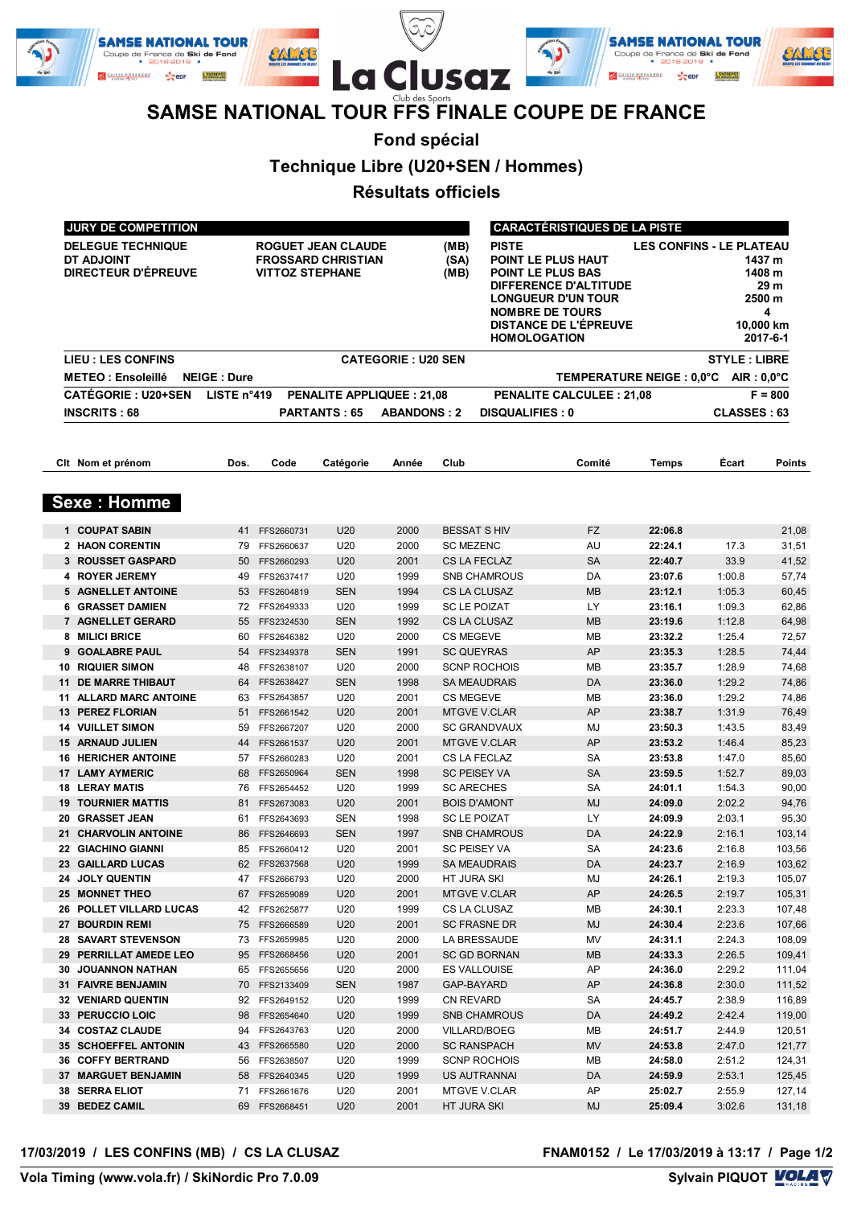

## **SAMSE NATIONAL TOUR FFS FINALE COUPE DE FRANCE**

**Fond spécial**

**Technique Libre (U20+SEN / Hommes)**

**Résultats officiels**

| JURY DE COMPETITION                                           |                      |                                |                                                 |                           | <b>CARACTÉRISTIQUES DE LA PISTE</b> |                                                                                                                                                                                                                                                                                                       |                                 |                    |                     |                  |
|---------------------------------------------------------------|----------------------|--------------------------------|-------------------------------------------------|---------------------------|-------------------------------------|-------------------------------------------------------------------------------------------------------------------------------------------------------------------------------------------------------------------------------------------------------------------------------------------------------|---------------------------------|--------------------|---------------------|------------------|
| <b>DELEGUE TECHNIQUE</b><br>DT ADJOINT<br>DIRECTEUR D'ÉPREUVE |                      | <b>VITTOZ STEPHANE</b>         | ROGUET JEAN CLAUDE<br><b>FROSSARD CHRISTIAN</b> |                           | (MB)<br>(SA)<br>(MB)                | <b>PISTE</b><br><b>LES CONFINS - LE PLATEAU</b><br>POINT LE PLUS HAUT<br>1437 m<br>POINT LE PLUS BAS<br>1408 m<br>29 m<br>DIFFERENCE D'ALTITUDE<br>2500 m<br><b>LONGUEUR D'UN TOUR</b><br><b>NOMBRE DE TOURS</b><br>4<br><b>DISTANCE DE L'ÉPREUVE</b><br>10,000 km<br><b>HOMOLOGATION</b><br>2017-6-1 |                                 |                    |                     |                  |
| <b>LIEU : LES CONFINS</b>                                     |                      |                                |                                                 | <b>CATEGORIE: U20 SEN</b> |                                     |                                                                                                                                                                                                                                                                                                       |                                 |                    | <b>STYLE: LIBRE</b> |                  |
| <b>METEO: Ensoleillé</b>                                      | <b>NEIGE: Dure</b>   |                                |                                                 |                           |                                     |                                                                                                                                                                                                                                                                                                       | TEMPERATURE NEIGE: 0.0°C        |                    | $AIR: 0.0^{\circ}C$ |                  |
| <b>CATÉGORIE: U20+SEN</b>                                     | LISTE $n^{\circ}419$ |                                | <b>PENALITE APPLIQUEE: 21,08</b>                |                           |                                     |                                                                                                                                                                                                                                                                                                       | <b>PENALITE CALCULEE: 21,08</b> |                    |                     | $F = 800$        |
| <b>INSCRITS: 68</b>                                           |                      |                                | <b>PARTANTS: 65</b>                             | <b>ABANDONS: 2</b>        |                                     | <b>DISQUALIFIES: 0</b>                                                                                                                                                                                                                                                                                |                                 |                    | <b>CLASSES: 63</b>  |                  |
|                                                               |                      |                                |                                                 |                           |                                     |                                                                                                                                                                                                                                                                                                       |                                 |                    |                     |                  |
| Clt Nom et prénom                                             | Dos.                 | Code                           | Catégorie                                       | Année                     | Club                                |                                                                                                                                                                                                                                                                                                       | Comité                          | <b>Temps</b>       | Écart               | <b>Points</b>    |
| <b>Sexe: Homme</b>                                            |                      |                                |                                                 |                           |                                     |                                                                                                                                                                                                                                                                                                       |                                 |                    |                     |                  |
| 1 COUPAT SABIN                                                | 41                   | FFS2660731                     | U20                                             | 2000                      |                                     | <b>BESSAT S HIV</b>                                                                                                                                                                                                                                                                                   | <b>FZ</b>                       | 22:06.8            |                     | 21,08            |
| 2 HAON CORENTIN                                               | 79                   | FFS2660637                     | U20                                             | 2000                      | <b>SC MEZENC</b>                    |                                                                                                                                                                                                                                                                                                       | AU                              | 22:24.1            | 17.3                | 31,51            |
| 3 ROUSSET GASPARD                                             | 50                   | FFS2660293                     | U20                                             | 2001                      |                                     | CS LA FECLAZ                                                                                                                                                                                                                                                                                          | <b>SA</b>                       | 22:40.7            | 33.9                | 41,52            |
| 4 ROYER JEREMY                                                | 49                   | FFS2637417                     | U20                                             | 1999                      |                                     | <b>SNB CHAMROUS</b>                                                                                                                                                                                                                                                                                   | DA                              | 23:07.6            | 1:00.8              | 57,74            |
| 5 AGNELLET ANTOINE                                            | 53                   | FFS2604819                     | <b>SEN</b>                                      | 1994                      |                                     | CS LA CLUSAZ                                                                                                                                                                                                                                                                                          | <b>MB</b>                       | 23:12.1            | 1:05.3              | 60,45            |
| 6 GRASSET DAMIEN                                              | 72                   | FFS2649333                     | U20                                             | 1999                      |                                     | <b>SC LE POIZAT</b>                                                                                                                                                                                                                                                                                   | LY                              | 23:16.1            | 1:09.3              | 62,86            |
| 7 AGNELLET GERARD                                             | 55                   | FFS2324530                     | <b>SEN</b>                                      | 1992                      |                                     | CS LA CLUSAZ                                                                                                                                                                                                                                                                                          | <b>MB</b>                       | 23:19.6            | 1:12.8              | 64,98            |
| 8 MILICI BRICE                                                | 60                   | FFS2646382                     | U20                                             | 2000                      | <b>CS MEGEVE</b>                    |                                                                                                                                                                                                                                                                                                       | MB<br>AP                        | 23:32.2            | 1:25.4              | 72,57            |
| <b>GOALABRE PAUL</b><br>9<br><b>RIQUIER SIMON</b><br>10       | 54<br>48             | FFS2349378<br>FFS2638107       | <b>SEN</b><br>U20                               | 1991<br>2000              |                                     | <b>SC QUEYRAS</b><br><b>SCNP ROCHOIS</b>                                                                                                                                                                                                                                                              | MВ                              | 23:35.3<br>23:35.7 | 1:28.5<br>1:28.9    | 74,44<br>74,68   |
| <b>DE MARRE THIBAUT</b><br>11                                 | 64                   | FFS2638427                     | <b>SEN</b>                                      | 1998                      |                                     | <b>SA MEAUDRAIS</b>                                                                                                                                                                                                                                                                                   | DA                              | 23:36.0            | 1:29.2              | 74,86            |
| <b>ALLARD MARC ANTOINE</b><br>11                              | 63                   | FFS2643857                     | U20                                             | 2001                      | <b>CS MEGEVE</b>                    |                                                                                                                                                                                                                                                                                                       | MB                              | 23:36.0            | 1:29.2              | 74,86            |
| <b>PEREZ FLORIAN</b><br>13                                    | 51                   | FFS2661542                     | U20                                             | 2001                      |                                     | <b>MTGVE V.CLAR</b>                                                                                                                                                                                                                                                                                   | AP                              | 23:38.7            | 1:31.9              | 76,49            |
| <b>VUILLET SIMON</b><br>14                                    | 59                   | FFS2667207                     | U20                                             | 2000                      |                                     | <b>SC GRANDVAUX</b>                                                                                                                                                                                                                                                                                   | MJ                              | 23:50.3            | 1:43.5              | 83,49            |
| <b>ARNAUD JULIEN</b><br>15                                    | 44                   | FFS2661537                     | U20                                             | 2001                      |                                     | <b>MTGVE V.CLAR</b>                                                                                                                                                                                                                                                                                   | AP                              | 23:53.2            | 1:46.4              | 85,23            |
| <b>16 HERICHER ANTOINE</b>                                    | 57                   | FFS2660283                     | U20                                             | 2001                      |                                     | CS LA FECLAZ                                                                                                                                                                                                                                                                                          | SA                              | 23:53.8            | 1:47.0              | 85,60            |
| <b>LAMY AYMERIC</b><br>17                                     | 68                   | FFS2650964                     | <b>SEN</b>                                      | 1998                      |                                     | <b>SC PEISEY VA</b>                                                                                                                                                                                                                                                                                   | <b>SA</b>                       | 23:59.5            | 1:52.7              | 89,03            |
| <b>LERAY MATIS</b><br>18                                      | 76                   | FFS2654452                     | U <sub>20</sub>                                 | 1999                      |                                     | <b>SC ARECHES</b>                                                                                                                                                                                                                                                                                     | <b>SA</b>                       | 24:01.1            | 1:54.3              | 90,00            |
| <b>TOURNIER MATTIS</b><br>19                                  | 81                   | FFS2673083                     | U20                                             | 2001                      |                                     | <b>BOIS D'AMONT</b>                                                                                                                                                                                                                                                                                   | <b>MJ</b>                       | 24:09.0            | 2:02.2              | 94,76            |
| <b>GRASSET JEAN</b><br>20                                     | 61                   | FFS2643693                     | <b>SEN</b>                                      | 1998                      |                                     | <b>SC LE POIZAT</b>                                                                                                                                                                                                                                                                                   | LY                              | 24:09.9            | 2:03.1              | 95,30            |
| <b>CHARVOLIN ANTOINE</b><br>21<br>22 GIACHINO GIANNI          | 86<br>85             | FFS2646693<br>FFS2660412       | <b>SEN</b><br>U <sub>20</sub>                   | 1997<br>2001              |                                     | <b>SNB CHAMROUS</b><br><b>SC PEISEY VA</b>                                                                                                                                                                                                                                                            | DA<br><b>SA</b>                 | 24:22.9<br>24:23.6 | 2:16.1<br>2:16.8    | 103,14           |
| 23 GAILLARD LUCAS                                             |                      | 62 FFS2637568                  | U20                                             | 1999                      |                                     | <b>SA MEAUDRAIS</b>                                                                                                                                                                                                                                                                                   | DA                              | 24:23.7            | 2:16.9              | 103,56<br>103,62 |
| 24 JOLY QUENTIN                                               |                      | 47 FFS2666793                  | U20                                             | 2000                      | HT JURA SKI                         |                                                                                                                                                                                                                                                                                                       | MJ                              | 24:26.1            | 2:19.3              | 105,07           |
| 25 MONNET THEO                                                | 67                   | FFS2659089                     | U20                                             | 2001                      |                                     | <b>MTGVE V.CLAR</b>                                                                                                                                                                                                                                                                                   | AP                              | 24:26.5            | 2:19.7              | 105,31           |
| 26 POLLET VILLARD LUCAS                                       | 42                   | FFS2625877                     | U20                                             | 1999                      |                                     | CS LA CLUSAZ                                                                                                                                                                                                                                                                                          | MВ                              | 24:30.1            | 2:23.3              | 107,48           |
| 27 BOURDIN REMI                                               | 75                   | FFS2666589                     | U20                                             | 2001                      |                                     | <b>SC FRASNE DR</b>                                                                                                                                                                                                                                                                                   | MJ                              | 24:30.4            | 2:23.6              | 107,66           |
| <b>28 SAVART STEVENSON</b>                                    |                      | 73 FFS2659985                  | U20                                             | 2000                      |                                     | LA BRESSAUDE                                                                                                                                                                                                                                                                                          | ΜV                              | 24:31.1            | 2:24.3              | 108,09           |
| 29 PERRILLAT AMEDE LEO                                        | 95                   | FFS2668456                     | U20                                             | 2001                      |                                     | <b>SC GD BORNAN</b>                                                                                                                                                                                                                                                                                   | МB                              | 24:33.3            | 2:26.5              | 109,41           |
| 30 JOUANNON NATHAN                                            |                      | 65 FFS2655656                  | U20                                             | 2000                      |                                     | ES VALLOUISE                                                                                                                                                                                                                                                                                          | AP                              | 24:36.0            | 2:29.2              | 111,04           |
| 31 FAIVRE BENJAMIN                                            | 70                   | FFS2133409                     | <b>SEN</b>                                      | 1987                      |                                     | GAP-BAYARD                                                                                                                                                                                                                                                                                            | AP                              | 24:36.8            | 2:30.0              | 111,52           |
| 32 VENIARD QUENTIN<br>33 PERUCCIO LOIC                        |                      | 92 FFS2649152<br>98 FFS2654640 | U20<br>U20                                      | 1999<br>1999              | CN REVARD                           | <b>SNB CHAMROUS</b>                                                                                                                                                                                                                                                                                   | SA                              | 24:45.7            | 2:38.9              | 116,89<br>119,00 |
| 34 COSTAZ CLAUDE                                              | 94                   | FFS2643763                     | U20                                             | 2000                      |                                     | <b>VILLARD/BOEG</b>                                                                                                                                                                                                                                                                                   | DA<br>ΜВ                        | 24:49.2<br>24:51.7 | 2:42.4<br>2:44.9    | 120,51           |
| 35 SCHOEFFEL ANTONIN                                          | 43                   | FFS2665580                     | U20                                             | 2000                      |                                     | <b>SC RANSPACH</b>                                                                                                                                                                                                                                                                                    | MV                              | 24:53.8            | 2:47.0              | 121,77           |
| <b>36 COFFY BERTRAND</b>                                      |                      | 56 FFS2638507                  | U20                                             | 1999                      |                                     | <b>SCNP ROCHOIS</b>                                                                                                                                                                                                                                                                                   | MВ                              | 24:58.0            | 2:51.2              | 124,31           |
| 37 MARGUET BENJAMIN                                           | 58                   | FFS2640345                     | U20                                             | 1999                      |                                     | US AUTRANNAI                                                                                                                                                                                                                                                                                          | DA                              | 24:59.9            | 2:53.1              | 125,45           |
| 38 SERRA ELIOT                                                | 71                   | FFS2661676                     | U20                                             | 2001                      |                                     | MTGVE V.CLAR                                                                                                                                                                                                                                                                                          | AP                              | 25:02.7            | 2:55.9              | 127,14           |
| 39 BEDEZ CAMIL                                                | 69                   | FFS2668451                     | U20                                             | 2001                      | HT JURA SKI                         |                                                                                                                                                                                                                                                                                                       | MJ                              | 25:09.4            | 3:02.6              | 131,18           |
|                                                               |                      |                                |                                                 |                           |                                     |                                                                                                                                                                                                                                                                                                       |                                 |                    |                     |                  |